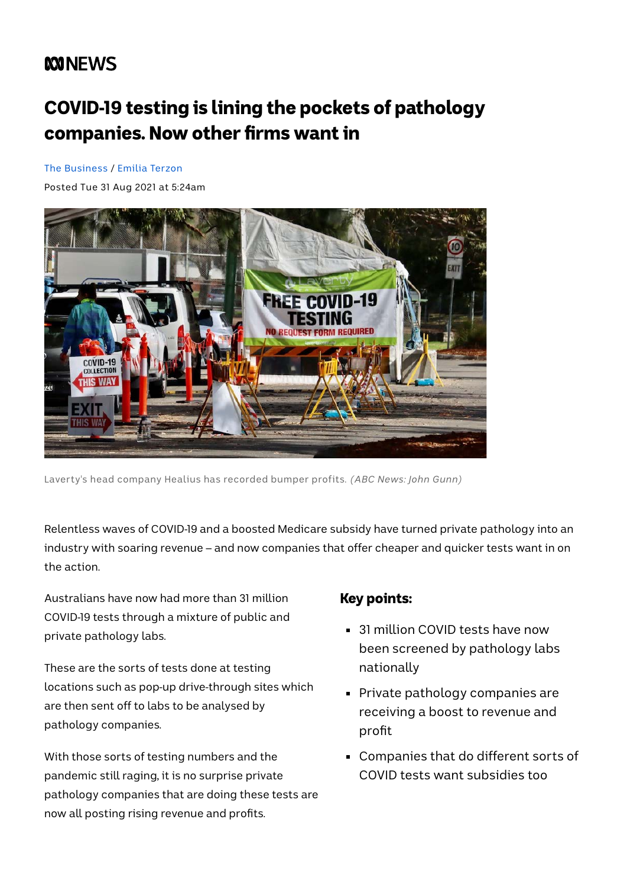# **MNEWS**

# COVID-19 testing is lining the pockets of pathology companies. Now other firms want in

[The Business](https://www.abc.net.au/news/programs/the-business/) / [Emilia Terzon](https://www.abc.net.au/news/emilia-terzon/5769642)

Posted Tue 31 Aug 2021 at 5:24am



Laverty's head company Healius has recorded bumper profits. *(ABC News: John Gunn)*

Relentless waves of COVID-19 and a boosted Medicare subsidy have turned private pathology into an industry with soaring revenue – and now companies that offer cheaper and quicker tests want in on the action.

Australians have now had more than 31 million COVID-19 tests through a mixture of public and private pathology labs.

These are the sorts of tests done at testing locations such as pop-up drive-through sites which are then sent off to labs to be analysed by pathology companies.

With those sorts of testing numbers and the pandemic still raging, it is no surprise private pathology companies that are doing these tests are now all posting rising revenue and profits.

#### Key points:

- 31 million COVID tests have now been screened by pathology labs nationally
- **Private pathology companies are** receiving a boost to revenue and profit
- Companies that do different sorts of COVID tests want subsidies too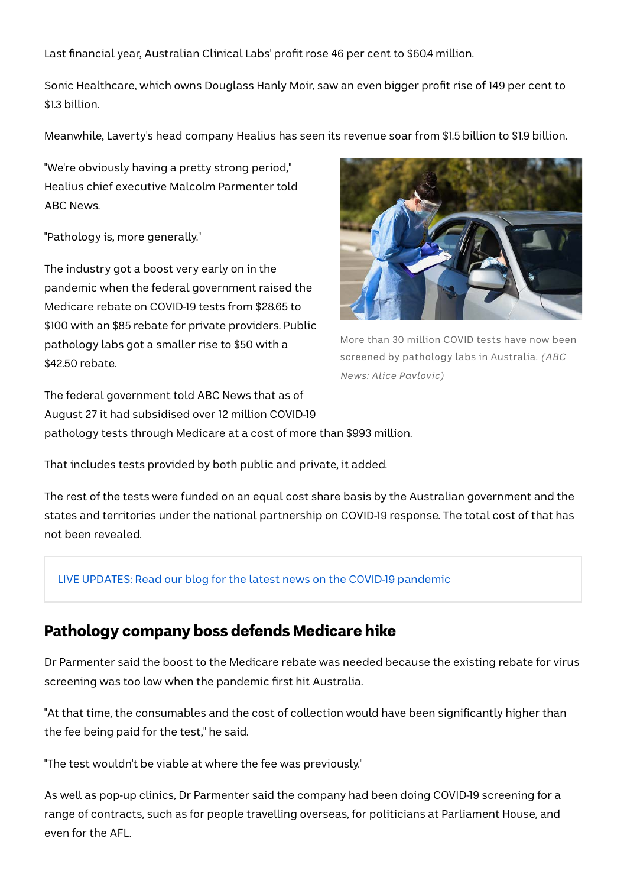Last financial year, Australian Clinical Labs' profit rose 46 per cent to \$60.4 million.

Sonic Healthcare, which owns Douglass Hanly Moir, saw an even bigger profit rise of 149 per cent to \$1.3 billion.

Meanwhile, Laverty's head company Healius has seen its revenue soar from \$1.5 billion to \$1.9 billion.

"We're obviously having a pretty strong period," Healius chief executive Malcolm Parmenter told ABC News.

"Pathology is, more generally."

The industry got a boost very early on in the pandemic when the federal government raised the Medicare rebate on COVID-19 tests from \$28.65 to \$100 with an \$85 rebate for private providers. Public pathology labs got a smaller rise to \$50 with a \$42.50 rebate.



More than 30 million COVID tests have now been screened by pathology labs in Australia. *(ABC News: Alice Pavlovic)*

The federal government told ABC News that as of August 27 it had subsidised over 12 million COVID-19 pathology tests through Medicare at a cost of more than \$993 million.

That includes tests provided by both public and private, it added.

The rest of the tests were funded on an equal cost share basis by the Australian government and the states and territories under the national partnership on COVID-19 response. The total cost of that has not been revealed.

#### [LIVE UPDATES: Read our blog for the latest news on the COVID-19 pandemic](https://www.abc.net.au/news/2021-08-31/covid-live-blog-nsw-press-conference-victoria-lockdown/100419350)

### Pathology company boss defends Medicare hike

Dr Parmenter said the boost to the Medicare rebate was needed because the existing rebate for virus screening was too low when the pandemic first hit Australia.

"At that time, the consumables and the cost of collection would have been significantly higher than the fee being paid for the test," he said.

"The test wouldn't be viable at where the fee was previously."

As well as pop-up clinics, Dr Parmenter said the company had been doing COVID-19 screening for a range of contracts, such as for people travelling overseas, for politicians at Parliament House, and even for the AFL.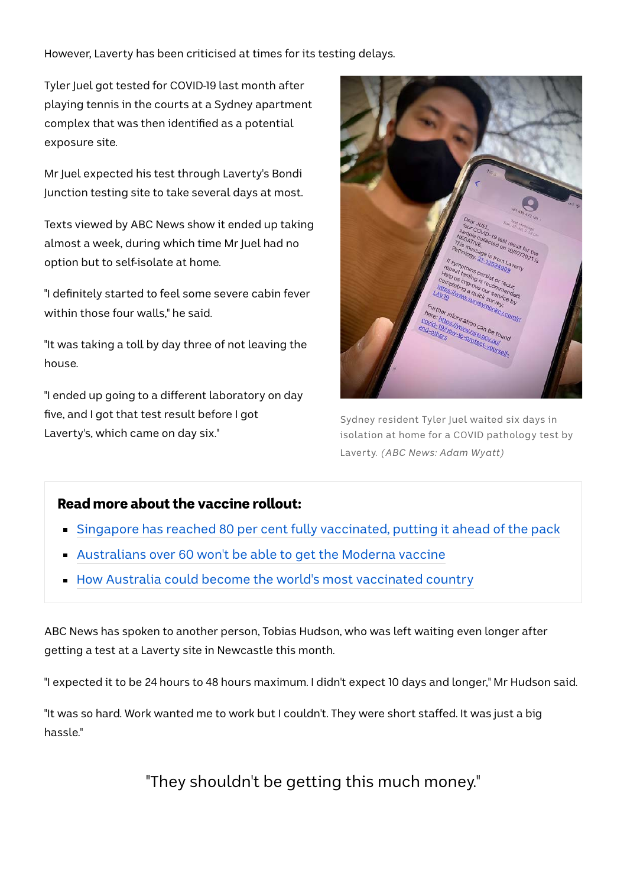However, Laverty has been criticised at times for its testing delays.

Tyler Juel got tested for COVID-19 last month after playing tennis in the courts at a Sydney apartment complex that was then identified as a potential exposure site.

Mr Juel expected his test through Laverty's Bondi Junction testing site to take several days at most.

Texts viewed by ABC News show it ended up taking almost a week, during which time Mr Juel had no option but to self-isolate at home.

"I definitely started to feel some severe cabin fever within those four walls," he said.

"It was taking a toll by day three of not leaving the house.

"I ended up going to a different laboratory on day five, and I got that test result before I got Laverty's, which came on day six."



Sydney resident Tyler Juel waited six days in isolation at home for a COVID pathology test by Laverty. *(ABC News: Adam Wyatt)*

#### Read more about the vaccine rollout:

- **[Singapore has reached 80 per cent fully vaccinated, putting it ahead of the pack](https://www.abc.net.au/news/2021-08-30/singapore-covid-80-percent-full-vaccinated/100417746)**
- [Australians over 60 won't be able to get the Moderna vaccine](https://www.abc.net.au/news/2021-08-29/moderna-vaccine-eligibility-not-for-60-year-olds/100415976)
- **[How Australia could become the world's most vaccinated country](https://www.abc.net.au/news/2021-08-27/how-australia-could-become-world-most-covid-vaccinated-country/100410504)**

ABC News has spoken to another person, Tobias Hudson, who was left waiting even longer after getting a test at a Laverty site in Newcastle this month.

"I expected it to be 24 hours to 48 hours maximum. I didn't expect 10 days and longer," Mr Hudson said.

"It was so hard. Work wanted me to work but I couldn't. They were short staffed. It was just a big hassle."

"They shouldn't be getting this much money."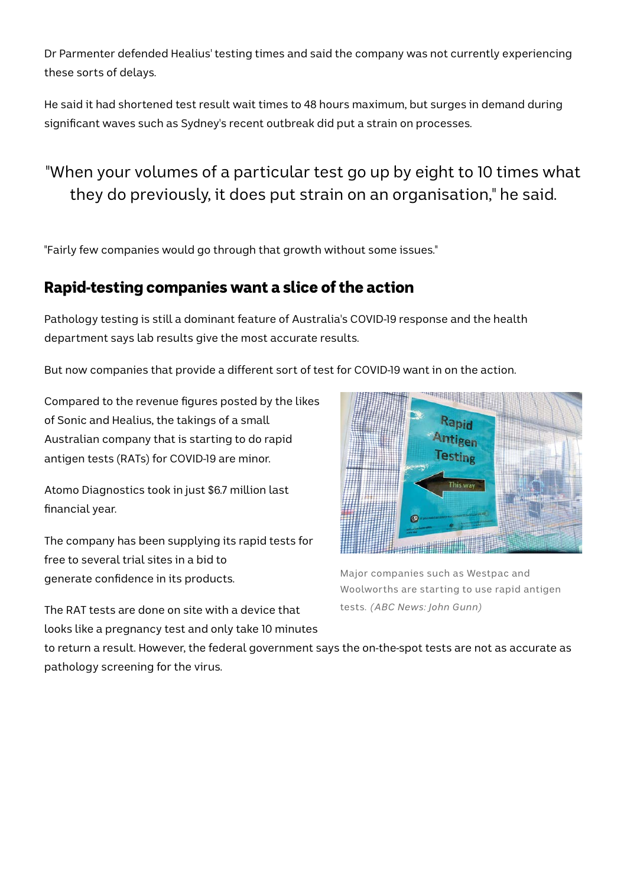Dr Parmenter defended Healius' testing times and said the company was not currently experiencing these sorts of delays.

He said it had shortened test result wait times to 48 hours maximum, but surges in demand during significant waves such as Sydney's recent outbreak did put a strain on processes.

### "When your volumes of a particular test go up by eight to 10 times what they do previously, it does put strain on an organisation," he said.

"Fairly few companies would go through that growth without some issues."

### Rapid-testing companies want a slice of the action

Pathology testing is still a dominant feature of Australia's COVID-19 response and the health department says lab results give the most accurate results.

But now companies that provide a different sort of test for COVID-19 want in on the action.

Compared to the revenue figures posted by the likes of Sonic and Healius, the takings of a small Australian company that is starting to do rapid antigen tests (RATs) for COVID-19 are minor.

Atomo Diagnostics took in just \$6.7 million last financial year.

The company has been supplying its rapid tests for free to several trial sites in a bid to generate confidence in its products.

Rapid Antigen **Testing HHHHHHHH** 

Major companies such as Westpac and Woolworths are starting to use rapid antigen tests. *(ABC News: John Gunn)*

The RAT tests are done on site with a device that looks like a pregnancy test and only take 10 minutes

to return a result. However, the federal government says the on-the-spot tests are not as accurate as pathology screening for the virus.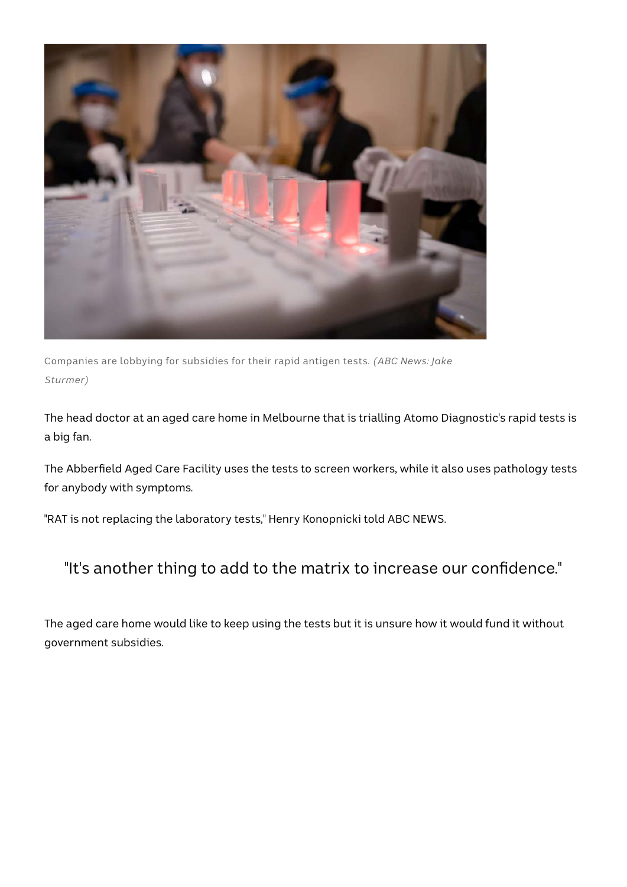

Companies are lobbying for subsidies for their rapid antigen tests. *(ABC News: Jake Sturmer)*

The head doctor at an aged care home in Melbourne that is trialling Atomo Diagnostic's rapid tests is a big fan.

The Abberfield Aged Care Facility uses the tests to screen workers, while it also uses pathology tests for anybody with symptoms.

"RAT is not replacing the laboratory tests," Henry Konopnicki told ABC NEWS.

### "It's another thing to add to the matrix to increase our confidence."

The aged care home would like to keep using the tests but it is unsure how it would fund it without government subsidies.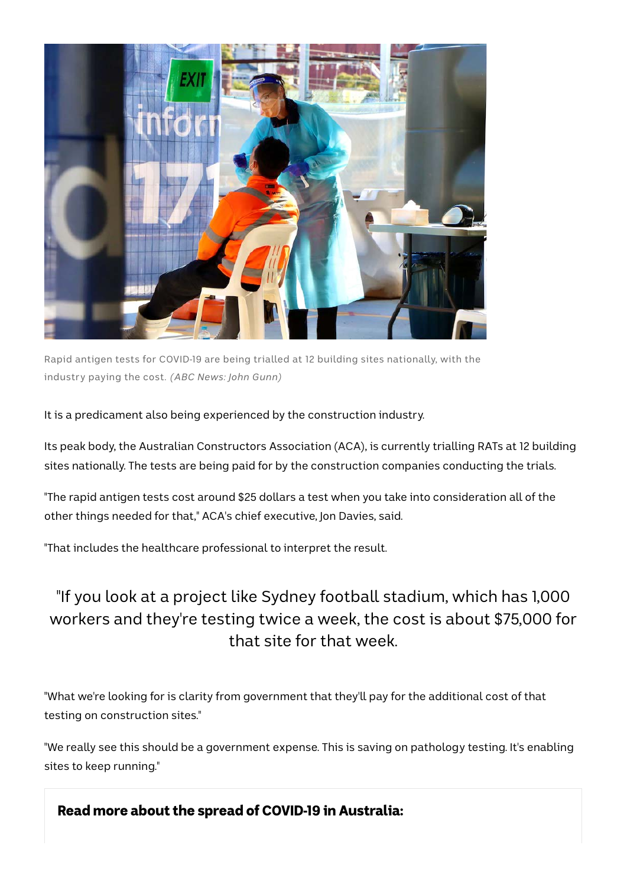

Rapid antigen tests for COVID-19 are being trialled at 12 building sites nationally, with the industry paying the cost. *(ABC News: John Gunn)*

It is a predicament also being experienced by the construction industry.

Its peak body, the Australian Constructors Association (ACA), is currently trialling RATs at 12 building sites nationally. The tests are being paid for by the construction companies conducting the trials.

"The rapid antigen tests cost around \$25 dollars a test when you take into consideration all of the other things needed for that," ACA's chief executive, Jon Davies, said.

"That includes the healthcare professional to interpret the result.

## "If you look at a project like Sydney football stadium, which has 1,000 workers and they're testing twice a week, the cost is about \$75,000 for that site for that week.

"What we're looking for is clarity from government that they'll pay for the additional cost of that testing on construction sites."

"We really see this should be a government expense. This is saving on pathology testing. It's enabling sites to keep running."

Read more about the spread of COVID-19 in Australia: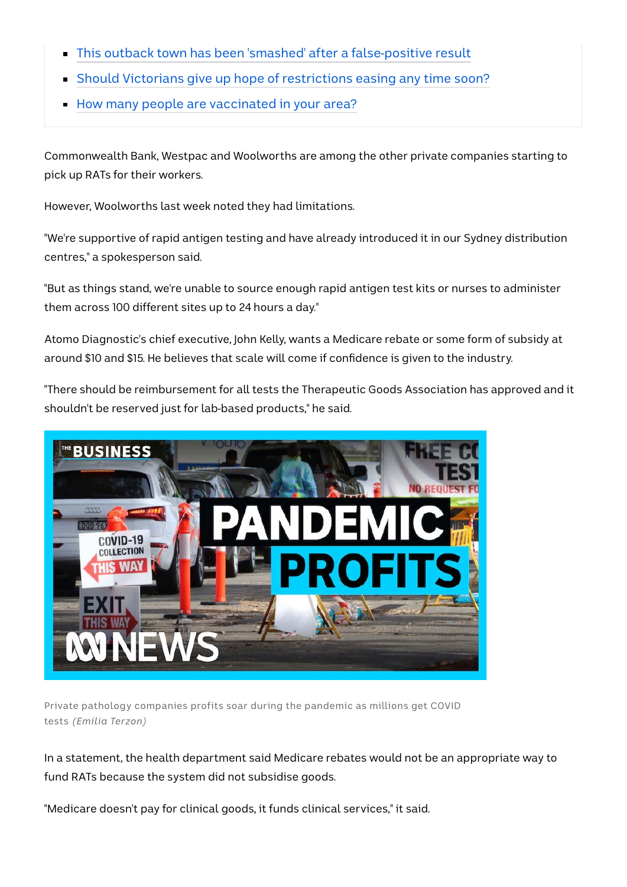- [This outback town has been 'smashed' after a false-positive result](https://www.abc.net.au/news/2021-08-31/st-george-tourismfalse-positive-test-impacts-tourism/100417764)
- [Should Victorians give up hope of restrictions easing any time soon?](https://www.abc.net.au/news/2021-08-30/covid-lockdown-victoria-extension-dan-andrews/100416668)
- [How many people are vaccinated in your area?](https://www.abc.net.au/news/2021-08-30/victorias-most-least-vaccinated-local-government-areas-revealed/100416780)

Commonwealth Bank, Westpac and Woolworths are among the other private companies starting to pick up RATs for their workers.

However, Woolworths last week noted they had limitations.

"We're supportive of rapid antigen testing and have already introduced it in our Sydney distribution centres," a spokesperson said.

"But as things stand, we're unable to source enough rapid antigen test kits or nurses to administer them across 100 different sites up to 24 hours a day."

Atomo Diagnostic's chief executive, John Kelly, wants a Medicare rebate or some form of subsidy at around \$10 and \$15. He believes that scale will come if confidence is given to the industry.

"There should be reimbursement for all tests the Therapeutic Goods Association has approved and it shouldn't be reserved just for lab-based products," he said.



Private pathology companies profits soar during the pandemic as millions get COVID tests *(Emilia Terzon)*

In a statement, the health department said Medicare rebates would not be an appropriate way to fund RATs because the system did not subsidise goods.

"Medicare doesn't pay for clinical goods, it funds clinical services," it said.